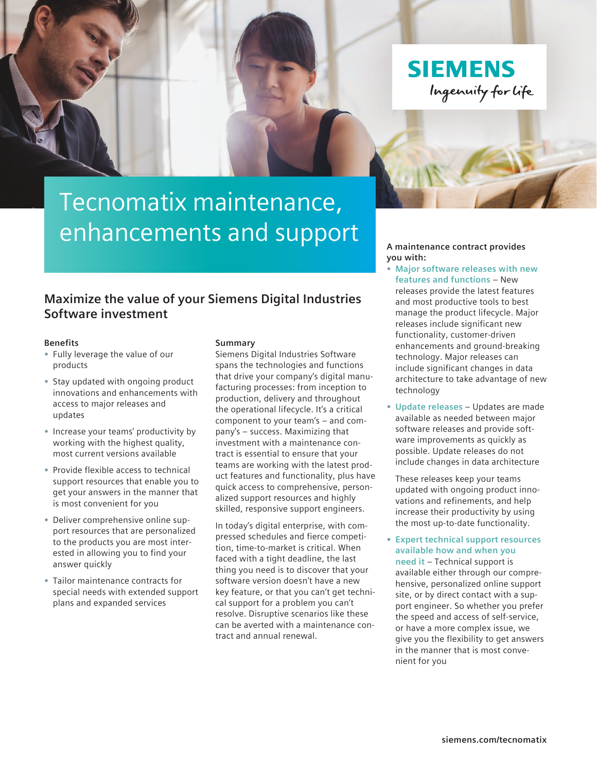



Ingenuity for life

# Tecnomatix maintenance, enhancements and support

### **Maximize the value of your Siemens Digital Industries Software investment**

#### **Benefits**

- **•** Fully leverage the value of our products
- **•** Stay updated with ongoing product innovations and enhancements with access to major releases and updates
- **•** Increase your teams' productivity by working with the highest quality, most current versions available
- **•** Provide flexible access to technical support resources that enable you to get your answers in the manner that is most convenient for you
- **•** Deliver comprehensive online support resources that are personalized to the products you are most interested in allowing you to find your answer quickly
- **•** Tailor maintenance contracts for special needs with extended support plans and expanded services

#### **Summary**

Siemens Digital Industries Software spans the technologies and functions that drive your company's digital manufacturing processes: from inception to production, delivery and throughout the operational lifecycle. It's a critical component to your team's – and company's – success. Maximizing that investment with a maintenance contract is essential to ensure that your teams are working with the latest product features and functionality, plus have quick access to comprehensive, personalized support resources and highly skilled, responsive support engineers.

In today's digital enterprise, with compressed schedules and fierce competition, time-to-market is critical. When faced with a tight deadline, the last thing you need is to discover that your software version doesn't have a new key feature, or that you can't get technical support for a problem you can't resolve. Disruptive scenarios like these can be averted with a maintenance contract and annual renewal.

**A maintenance contract provides you with:**

**SIEMENS** 

- **• Major software releases with new features and functions** – New releases provide the latest features and most productive tools to best manage the product lifecycle. Major releases include significant new functionality, customer-driven enhancements and ground-breaking technology. Major releases can include significant changes in data architecture to take advantage of new technology
- **• Update releases** Updates are made available as needed between major software releases and provide software improvements as quickly as possible. Update releases do not include changes in data architecture

These releases keep your teams updated with ongoing product innovations and refinements, and help increase their productivity by using the most up-to-date functionality.

**• Expert technical support resources available how and when you need it** – Technical support is

available either through our comprehensive, personalized online support site, or by direct contact with a support engineer. So whether you prefer the speed and access of self-service, or have a more complex issue, we give you the flexibility to get answers in the manner that is most convenient for you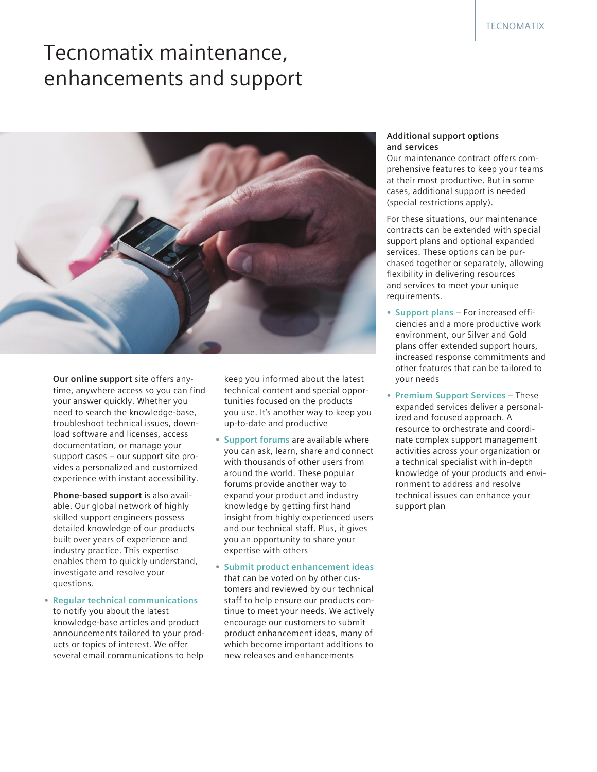## Tecnomatix maintenance, enhancements and support



**Our online support** site offers anytime, anywhere access so you can find your answer quickly. Whether you need to search the knowledge-base, troubleshoot technical issues, download software and licenses, access documentation, or manage your support cases – our support site provides a personalized and customized experience with instant accessibility.

**Phone-based support** is also available. Our global network of highly skilled support engineers possess detailed knowledge of our products built over years of experience and industry practice. This expertise enables them to quickly understand, investigate and resolve your questions.

**• Regular technical communications** to notify you about the latest knowledge-base articles and product announcements tailored to your products or topics of interest. We offer several email communications to help

keep you informed about the latest technical content and special opportunities focused on the products you use. It's another way to keep you up-to-date and productive

- **• Support forums** are available where you can ask, learn, share and connect with thousands of other users from around the world. These popular forums provide another way to expand your product and industry knowledge by getting first hand insight from highly experienced users and our technical staff. Plus, it gives you an opportunity to share your expertise with others
- **• Submit product enhancement ideas**  that can be voted on by other customers and reviewed by our technical staff to help ensure our products continue to meet your needs. We actively encourage our customers to submit product enhancement ideas, many of which become important additions to new releases and enhancements

#### **Additional support options and services**

Our maintenance contract offers comprehensive features to keep your teams at their most productive. But in some cases, additional support is needed (special restrictions apply).

For these situations, our maintenance contracts can be extended with special support plans and optional expanded services. These options can be purchased together or separately, allowing flexibility in delivering resources and services to meet your unique requirements.

- **• Support plans** For increased efficiencies and a more productive work environment, our Silver and Gold plans offer extended support hours, increased response commitments and other features that can be tailored to your needs
- **• Premium Support Services** These expanded services deliver a personalized and focused approach. A resource to orchestrate and coordinate complex support management activities across your organization or a technical specialist with in-depth knowledge of your products and environment to address and resolve technical issues can enhance your support plan